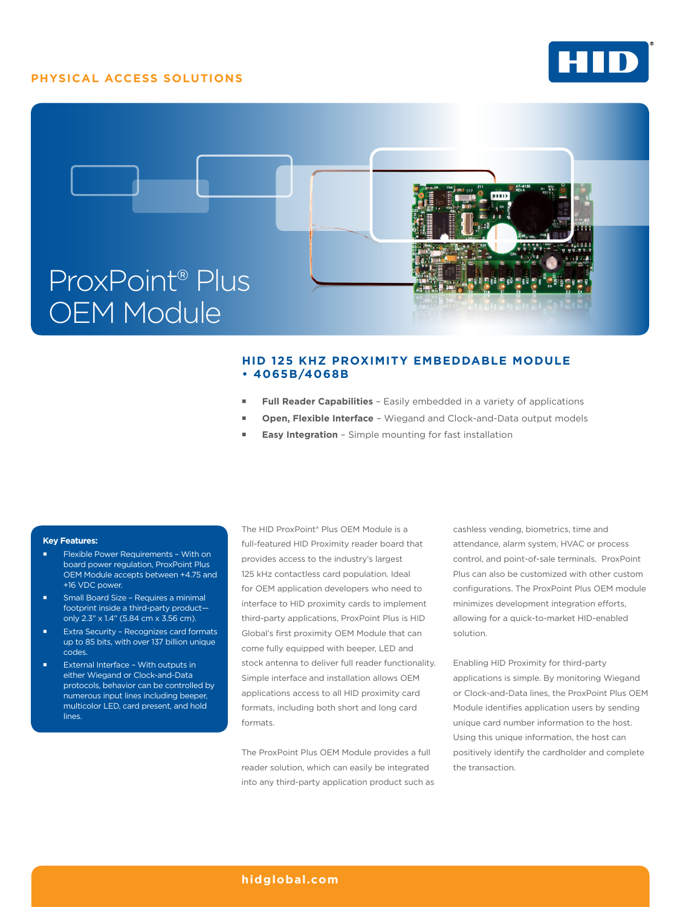## **PHYSICAL ACCESS SOLUTIONS**





# **HID 125 KHZ PROXIMITY EMBEDDABLE MODULE • 4065B/4068B**

- **Full Reader Capabilities** Easily embedded in a variety of applications
- **Open, Flexible Interface** Wiegand and Clock-and-Data output models
- **Easy Integration** Simple mounting for fast installation

### **Key Features:**

- Flexible Power Requirements With on board power regulation, ProxPoint Plus OEM Module accepts between +4.75 and +16 VDC power.
- Small Board Size Requires a minimal footprint inside a third-party product only 2.3" x 1.4" (5.84 cm x 3.56 cm).
- Extra Security Recognizes card formats up to 85 bits, with over 137 billion unique codes.
- External Interface With outputs in either Wiegand or Clock-and-Data protocols, behavior can be controlled by numerous input lines including beeper, multicolor LED, card present, and hold lines.

The HID ProxPoint® Plus OEM Module is a full-featured HID Proximity reader board that provides access to the industry's largest 125 kHz contactless card population. Ideal for OEM application developers who need to interface to HID proximity cards to implement third-party applications, ProxPoint Plus is HID Global's first proximity OEM Module that can come fully equipped with beeper, LED and stock antenna to deliver full reader functionality. Simple interface and installation allows OEM applications access to all HID proximity card formats, including both short and long card formats.

The ProxPoint Plus OEM Module provides a full reader solution, which can easily be integrated into any third-party application product such as cashless vending, biometrics, time and attendance, alarm system, HVAC or process control, and point-of-sale terminals. ProxPoint Plus can also be customized with other custom configurations. The ProxPoint Plus OEM module minimizes development integration efforts, allowing for a quick-to-market HID-enabled solution.

Enabling HID Proximity for third-party applications is simple. By monitoring Wiegand or Clock-and-Data lines, the ProxPoint Plus OEM Module identifies application users by sending unique card number information to the host. Using this unique information, the host can positively identify the cardholder and complete the transaction.